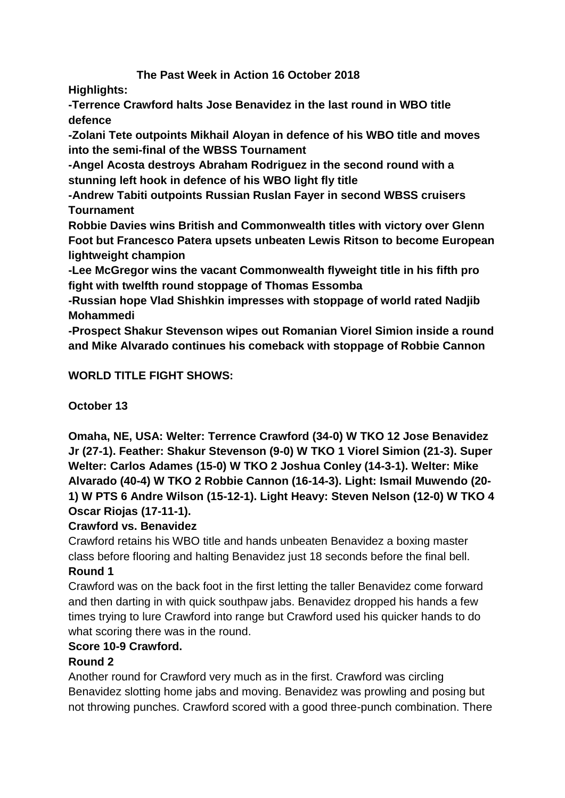## **The Past Week in Action 16 October 2018**

**Highlights:**

**-Terrence Crawford halts Jose Benavidez in the last round in WBO title defence**

**-Zolani Tete outpoints Mikhail Aloyan in defence of his WBO title and moves into the semi-final of the WBSS Tournament**

**-Angel Acosta destroys Abraham Rodriguez in the second round with a stunning left hook in defence of his WBO light fly title** 

**-Andrew Tabiti outpoints Russian Ruslan Fayer in second WBSS cruisers Tournament**

**Robbie Davies wins British and Commonwealth titles with victory over Glenn Foot but Francesco Patera upsets unbeaten Lewis Ritson to become European lightweight champion**

**-Lee McGregor wins the vacant Commonwealth flyweight title in his fifth pro fight with twelfth round stoppage of Thomas Essomba**

**-Russian hope Vlad Shishkin impresses with stoppage of world rated Nadjib Mohammedi**

**-Prospect Shakur Stevenson wipes out Romanian Viorel Simion inside a round and Mike Alvarado continues his comeback with stoppage of Robbie Cannon**

## **WORLD TITLE FIGHT SHOWS:**

**October 13**

**Omaha, NE, USA: Welter: Terrence Crawford (34-0) W TKO 12 Jose Benavidez Jr (27-1). Feather: Shakur Stevenson (9-0) W TKO 1 Viorel Simion (21-3). Super Welter: Carlos Adames (15-0) W TKO 2 Joshua Conley (14-3-1). Welter: Mike Alvarado (40-4) W TKO 2 Robbie Cannon (16-14-3). Light: Ismail Muwendo (20- 1) W PTS 6 Andre Wilson (15-12-1). Light Heavy: Steven Nelson (12-0) W TKO 4 Oscar Riojas (17-11-1).**

### **Crawford vs. Benavidez**

Crawford retains his WBO title and hands unbeaten Benavidez a boxing master class before flooring and halting Benavidez just 18 seconds before the final bell.

### **Round 1**

Crawford was on the back foot in the first letting the taller Benavidez come forward and then darting in with quick southpaw jabs. Benavidez dropped his hands a few times trying to lure Crawford into range but Crawford used his quicker hands to do what scoring there was in the round.

### **Score 10-9 Crawford.**

# **Round 2**

Another round for Crawford very much as in the first. Crawford was circling Benavidez slotting home jabs and moving. Benavidez was prowling and posing but not throwing punches. Crawford scored with a good three-punch combination. There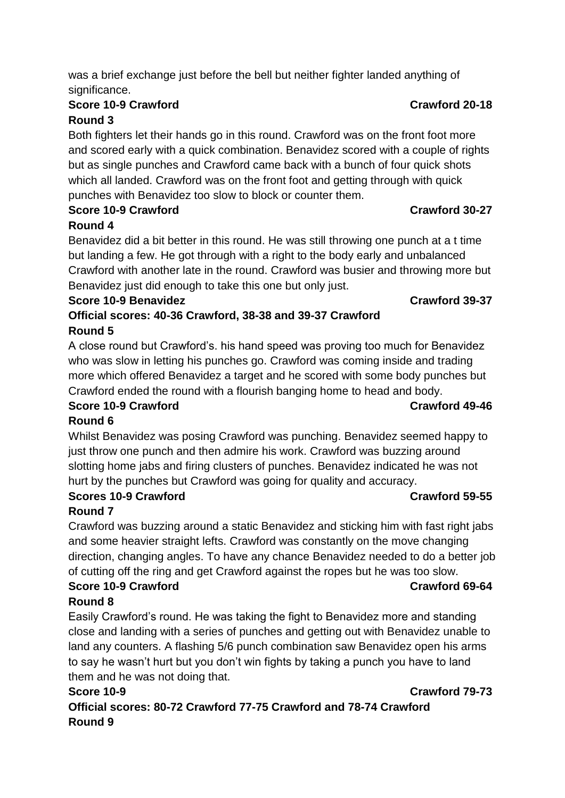# **Score 10-9 Crawford Crawford 20-18**

# **Round 3**

Both fighters let their hands go in this round. Crawford was on the front foot more and scored early with a quick combination. Benavidez scored with a couple of rights but as single punches and Crawford came back with a bunch of four quick shots which all landed. Crawford was on the front foot and getting through with quick punches with Benavidez too slow to block or counter them.

#### **Score 10-9 Crawford Crawford 30-27 Round 4**

Benavidez did a bit better in this round. He was still throwing one punch at a t time but landing a few. He got through with a right to the body early and unbalanced Crawford with another late in the round. Crawford was busier and throwing more but Benavidez just did enough to take this one but only just.

### **Score 10-9 Benavidez Crawford 39-37**

**Official scores: 40-36 Crawford, 38-38 and 39-37 Crawford Round 5**

A close round but Crawford's. his hand speed was proving too much for Benavidez who was slow in letting his punches go. Crawford was coming inside and trading more which offered Benavidez a target and he scored with some body punches but Crawford ended the round with a flourish banging home to head and body.

# **Score 10-9 Crawford Crawford 49-46**

**Round 6**

Whilst Benavidez was posing Crawford was punching. Benavidez seemed happy to just throw one punch and then admire his work. Crawford was buzzing around slotting home jabs and firing clusters of punches. Benavidez indicated he was not hurt by the punches but Crawford was going for quality and accuracy.

#### **Scores 10-9 Crawford Crawford 59-55 Round 7**

Crawford was buzzing around a static Benavidez and sticking him with fast right jabs and some heavier straight lefts. Crawford was constantly on the move changing direction, changing angles. To have any chance Benavidez needed to do a better job of cutting off the ring and get Crawford against the ropes but he was too slow.

#### **Score 10-9 Crawford Crawford 69-64 Round 8**

Easily Crawford's round. He was taking the fight to Benavidez more and standing close and landing with a series of punches and getting out with Benavidez unable to land any counters. A flashing 5/6 punch combination saw Benavidez open his arms to say he wasn't hurt but you don't win fights by taking a punch you have to land them and he was not doing that.

## **Score 10-9 Crawford 79-73 Official scores: 80-72 Crawford 77-75 Crawford and 78-74 Crawford Round 9**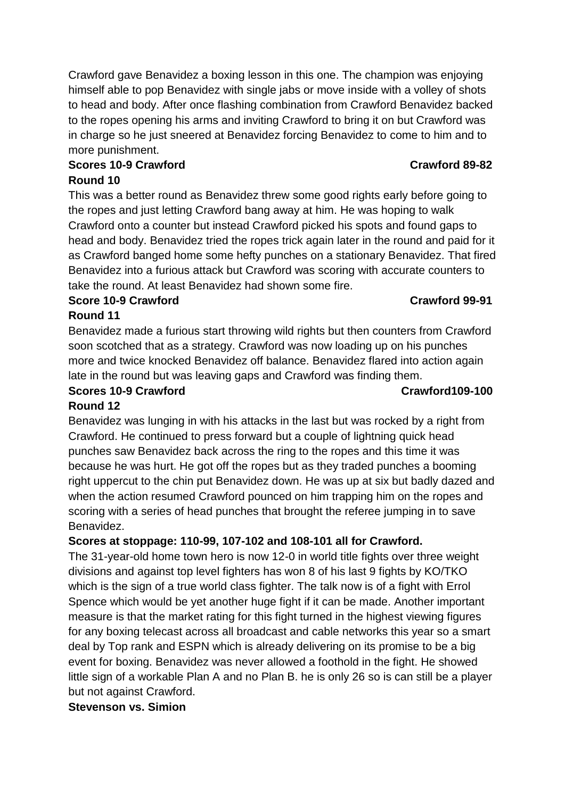Crawford gave Benavidez a boxing lesson in this one. The champion was enjoying himself able to pop Benavidez with single jabs or move inside with a volley of shots to head and body. After once flashing combination from Crawford Benavidez backed to the ropes opening his arms and inviting Crawford to bring it on but Crawford was in charge so he just sneered at Benavidez forcing Benavidez to come to him and to more punishment.

## **Scores 10-9 Crawford Crawford 89-82 Round 10**

This was a better round as Benavidez threw some good rights early before going to the ropes and just letting Crawford bang away at him. He was hoping to walk Crawford onto a counter but instead Crawford picked his spots and found gaps to head and body. Benavidez tried the ropes trick again later in the round and paid for it as Crawford banged home some hefty punches on a stationary Benavidez. That fired Benavidez into a furious attack but Crawford was scoring with accurate counters to take the round. At least Benavidez had shown some fire.

# **Score 10-9 Crawford Crawford 99-91**

**Round 11** Benavidez made a furious start throwing wild rights but then counters from Crawford

soon scotched that as a strategy. Crawford was now loading up on his punches more and twice knocked Benavidez off balance. Benavidez flared into action again late in the round but was leaving gaps and Crawford was finding them.

#### **Scores 10-9 Crawford Crawford109-100 Round 12**

Benavidez was lunging in with his attacks in the last but was rocked by a right from Crawford. He continued to press forward but a couple of lightning quick head punches saw Benavidez back across the ring to the ropes and this time it was because he was hurt. He got off the ropes but as they traded punches a booming right uppercut to the chin put Benavidez down. He was up at six but badly dazed and when the action resumed Crawford pounced on him trapping him on the ropes and scoring with a series of head punches that brought the referee jumping in to save Benavidez.

# **Scores at stoppage: 110-99, 107-102 and 108-101 all for Crawford.**

The 31-year-old home town hero is now 12-0 in world title fights over three weight divisions and against top level fighters has won 8 of his last 9 fights by KO/TKO which is the sign of a true world class fighter. The talk now is of a fight with Errol Spence which would be yet another huge fight if it can be made. Another important measure is that the market rating for this fight turned in the highest viewing figures for any boxing telecast across all broadcast and cable networks this year so a smart deal by Top rank and ESPN which is already delivering on its promise to be a big event for boxing. Benavidez was never allowed a foothold in the fight. He showed little sign of a workable Plan A and no Plan B. he is only 26 so is can still be a player but not against Crawford.

# **Stevenson vs. Simion**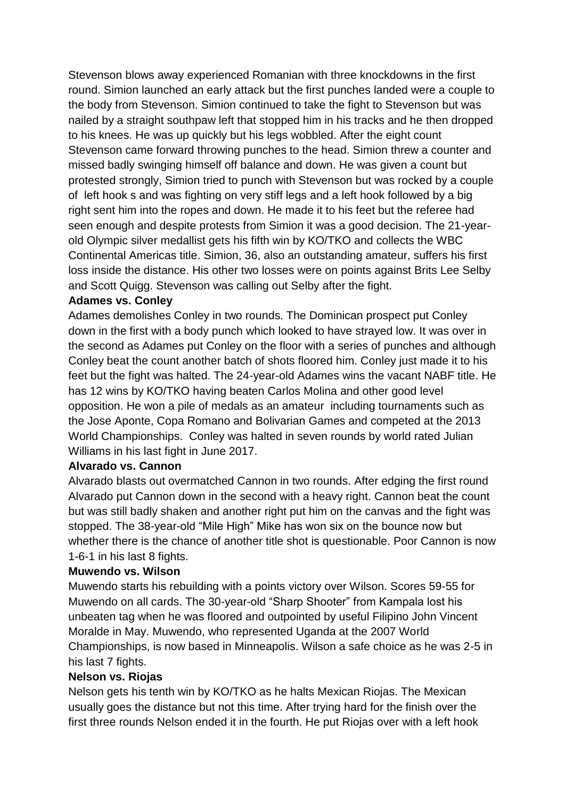Stevenson blows away experienced Romanian with three knockdowns in the first round. Simion launched an early attack but the first punches landed were a couple to the body from Stevenson. Simion continued to take the fight to Stevenson but was nailed by a straight southpaw left that stopped him in his tracks and he then dropped to his knees. He was up quickly but his legs wobbled. After the eight count Stevenson came forward throwing punches to the head. Simion threw a counter and missed badly swinging himself off balance and down. He was given a count but protested strongly, Simion tried to punch with Stevenson but was rocked by a couple of left hook s and was fighting on very stiff legs and a left hook followed by a big right sent him into the ropes and down. He made it to his feet but the referee had seen enough and despite protests from Simion it was a good decision. The 21-yearold Olympic silver medallist gets his fifth win by KO/TKO and collects the WBC Continental Americas title. Simion, 36, also an outstanding amateur, suffers his first loss inside the distance. His other two losses were on points against Brits Lee Selby and Scott Quigg. Stevenson was calling out Selby after the fight.

#### **Adames vs. Conley**

Adames demolishes Conley in two rounds. The Dominican prospect put Conley down in the first with a body punch which looked to have strayed low. It was over in the second as Adames put Conley on the floor with a series of punches and although Conley beat the count another batch of shots floored him. Conley just made it to his feet but the fight was halted. The 24-year-old Adames wins the vacant NABF title. He has 12 wins by KO/TKO having beaten Carlos Molina and other good level opposition. He won a pile of medals as an amateur including tournaments such as the Jose Aponte, Copa Romano and Bolivarian Games and competed at the 2013 World Championships. Conley was halted in seven rounds by world rated Julian Williams in his last fight in June 2017.

#### **Alvarado vs. Cannon**

Alvarado blasts out overmatched Cannon in two rounds. After edging the first round Alvarado put Cannon down in the second with a heavy right. Cannon beat the count but was still badly shaken and another right put him on the canvas and the fight was stopped. The 38-year-old "Mile High" Mike has won six on the bounce now but whether there is the chance of another title shot is questionable. Poor Cannon is now 1-6-1 in his last 8 fights.

#### **Muwendo vs. Wilson**

Muwendo starts his rebuilding with a points victory over Wilson. Scores 59-55 for Muwendo on all cards. The 30-year-old "Sharp Shooter" from Kampala lost his unbeaten tag when he was floored and outpointed by useful Filipino John Vincent Moralde in May. Muwendo, who represented Uganda at the 2007 World Championships, is now based in Minneapolis. Wilson a safe choice as he was 2-5 in his last 7 fights.

#### **Nelson vs. Riojas**

Nelson gets his tenth win by KO/TKO as he halts Mexican Riojas. The Mexican usually goes the distance but not this time. After trying hard for the finish over the first three rounds Nelson ended it in the fourth. He put Riojas over with a left hook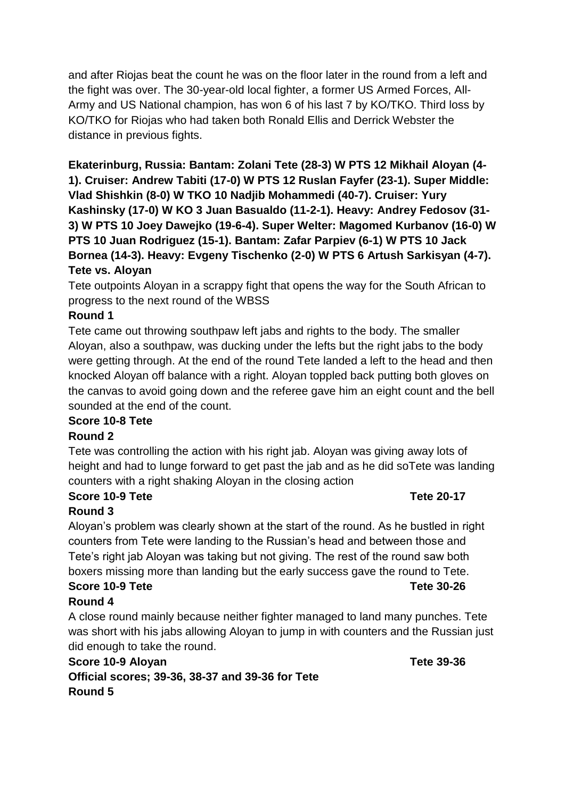and after Riojas beat the count he was on the floor later in the round from a left and the fight was over. The 30-year-old local fighter, a former US Armed Forces, All-Army and US National champion, has won 6 of his last 7 by KO/TKO. Third loss by KO/TKO for Riojas who had taken both Ronald Ellis and Derrick Webster the distance in previous fights.

**Ekaterinburg, Russia: Bantam: Zolani Tete (28-3) W PTS 12 Mikhail Aloyan (4- 1). Cruiser: Andrew Tabiti (17-0) W PTS 12 Ruslan Fayfer (23-1). Super Middle: Vlad Shishkin (8-0) W TKO 10 Nadjib Mohammedi (40-7). Cruiser: Yury Kashinsky (17-0) W KO 3 Juan Basualdo (11-2-1). Heavy: Andrey Fedosov (31- 3) W PTS 10 Joey Dawejko (19-6-4). Super Welter: Magomed Kurbanov (16-0) W PTS 10 Juan Rodriguez (15-1). Bantam: Zafar Parpiev (6-1) W PTS 10 Jack Bornea (14-3). Heavy: Evgeny Tischenko (2-0) W PTS 6 Artush Sarkisyan (4-7). Tete vs. Aloyan**

Tete outpoints Aloyan in a scrappy fight that opens the way for the South African to progress to the next round of the WBSS

#### **Round 1**

Tete came out throwing southpaw left jabs and rights to the body. The smaller Aloyan, also a southpaw, was ducking under the lefts but the right jabs to the body were getting through. At the end of the round Tete landed a left to the head and then knocked Aloyan off balance with a right. Aloyan toppled back putting both gloves on the canvas to avoid going down and the referee gave him an eight count and the bell sounded at the end of the count.

#### **Score 10-8 Tete**

#### **Round 2**

Tete was controlling the action with his right jab. Aloyan was giving away lots of height and had to lunge forward to get past the jab and as he did soTete was landing counters with a right shaking Aloyan in the closing action

# **Score 10-9 Tete Tete 20-17**

**Round 3**

Aloyan's problem was clearly shown at the start of the round. As he bustled in right counters from Tete were landing to the Russian's head and between those and Tete's right jab Aloyan was taking but not giving. The rest of the round saw both boxers missing more than landing but the early success gave the round to Tete. **Score 10-9 Tete Tete 30-26**

### **Round 4**

A close round mainly because neither fighter managed to land many punches. Tete was short with his jabs allowing Aloyan to jump in with counters and the Russian just did enough to take the round.

#### **Score 10-9 Aloyan Tete 39-36 Official scores; 39-36, 38-37 and 39-36 for Tete Round 5**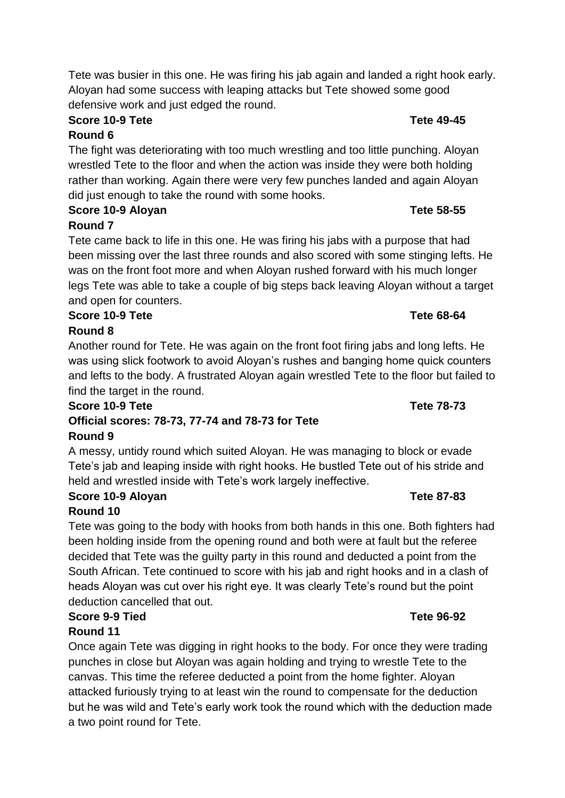Tete was busier in this one. He was firing his jab again and landed a right hook early. Aloyan had some success with leaping attacks but Tete showed some good defensive work and just edged the round.

#### **Score 10-9 Tete Tete 49-45 Round 6**

The fight was deteriorating with too much wrestling and too little punching. Aloyan wrestled Tete to the floor and when the action was inside they were both holding rather than working. Again there were very few punches landed and again Aloyan did just enough to take the round with some hooks.

# **Score 10-9 Aloyan Tete 58-55**

# **Round 7**

Tete came back to life in this one. He was firing his jabs with a purpose that had been missing over the last three rounds and also scored with some stinging lefts. He was on the front foot more and when Aloyan rushed forward with his much longer legs Tete was able to take a couple of big steps back leaving Aloyan without a target and open for counters.

#### **Score 10-9 Tete Tete 68-64 Round 8**

Another round for Tete. He was again on the front foot firing jabs and long lefts. He was using slick footwork to avoid Aloyan's rushes and banging home quick counters and lefts to the body. A frustrated Aloyan again wrestled Tete to the floor but failed to find the target in the round.

#### **Score 10-9 Tete Tete 78-73 Official scores: 78-73, 77-74 and 78-73 for Tete Round 9**

A messy, untidy round which suited Aloyan. He was managing to block or evade Tete's jab and leaping inside with right hooks. He bustled Tete out of his stride and held and wrestled inside with Tete's work largely ineffective.

# **Score 10-9 Aloyan Tete 87-83**

# **Round 10**

Tete was going to the body with hooks from both hands in this one. Both fighters had been holding inside from the opening round and both were at fault but the referee decided that Tete was the guilty party in this round and deducted a point from the South African. Tete continued to score with his jab and right hooks and in a clash of heads Aloyan was cut over his right eye. It was clearly Tete's round but the point deduction cancelled that out.

# **Score 9-9 Tied Tete 96-92**

# **Round 11**

Once again Tete was digging in right hooks to the body. For once they were trading punches in close but Aloyan was again holding and trying to wrestle Tete to the canvas. This time the referee deducted a point from the home fighter. Aloyan attacked furiously trying to at least win the round to compensate for the deduction but he was wild and Tete's early work took the round which with the deduction made a two point round for Tete.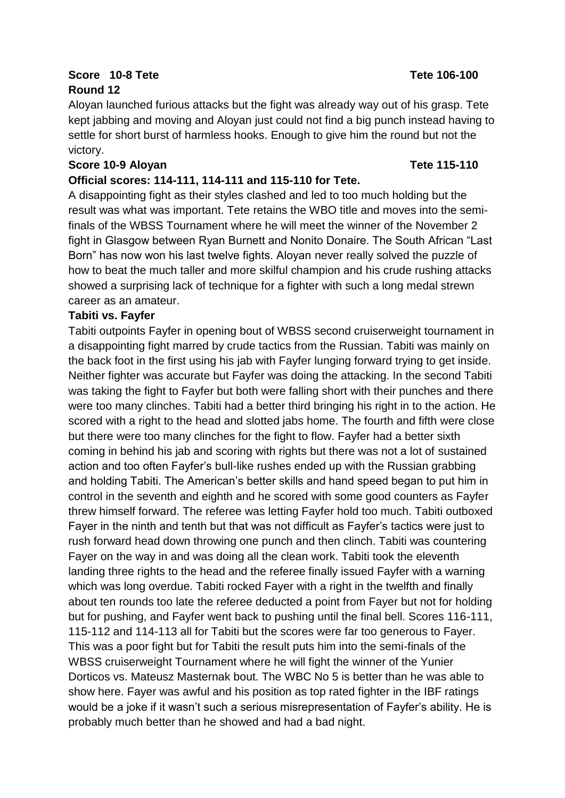#### **Score 10-8 Tete Tete 106-100 Round 12**

Aloyan launched furious attacks but the fight was already way out of his grasp. Tete kept jabbing and moving and Aloyan just could not find a big punch instead having to settle for short burst of harmless hooks. Enough to give him the round but not the victory.

#### **Score 10-9 Aloyan Tete 115-110**

#### **Official scores: 114-111, 114-111 and 115-110 for Tete.**

A disappointing fight as their styles clashed and led to too much holding but the result was what was important. Tete retains the WBO title and moves into the semifinals of the WBSS Tournament where he will meet the winner of the November 2 fight in Glasgow between Ryan Burnett and Nonito Donaire. The South African "Last Born" has now won his last twelve fights. Aloyan never really solved the puzzle of how to beat the much taller and more skilful champion and his crude rushing attacks showed a surprising lack of technique for a fighter with such a long medal strewn career as an amateur.

#### **Tabiti vs. Fayfer**

Tabiti outpoints Fayfer in opening bout of WBSS second cruiserweight tournament in a disappointing fight marred by crude tactics from the Russian. Tabiti was mainly on the back foot in the first using his jab with Fayfer lunging forward trying to get inside. Neither fighter was accurate but Fayfer was doing the attacking. In the second Tabiti was taking the fight to Fayfer but both were falling short with their punches and there were too many clinches. Tabiti had a better third bringing his right in to the action. He scored with a right to the head and slotted jabs home. The fourth and fifth were close but there were too many clinches for the fight to flow. Fayfer had a better sixth coming in behind his jab and scoring with rights but there was not a lot of sustained action and too often Fayfer's bull-like rushes ended up with the Russian grabbing and holding Tabiti. The American's better skills and hand speed began to put him in control in the seventh and eighth and he scored with some good counters as Fayfer threw himself forward. The referee was letting Fayfer hold too much. Tabiti outboxed Fayer in the ninth and tenth but that was not difficult as Fayfer's tactics were just to rush forward head down throwing one punch and then clinch. Tabiti was countering Fayer on the way in and was doing all the clean work. Tabiti took the eleventh landing three rights to the head and the referee finally issued Fayfer with a warning which was long overdue. Tabiti rocked Fayer with a right in the twelfth and finally about ten rounds too late the referee deducted a point from Fayer but not for holding but for pushing, and Fayfer went back to pushing until the final bell. Scores 116-111, 115-112 and 114-113 all for Tabiti but the scores were far too generous to Fayer. This was a poor fight but for Tabiti the result puts him into the semi-finals of the WBSS cruiserweight Tournament where he will fight the winner of the Yunier Dorticos vs. Mateusz Masternak bout. The WBC No 5 is better than he was able to show here. Fayer was awful and his position as top rated fighter in the IBF ratings would be a joke if it wasn't such a serious misrepresentation of Fayfer's ability. He is probably much better than he showed and had a bad night.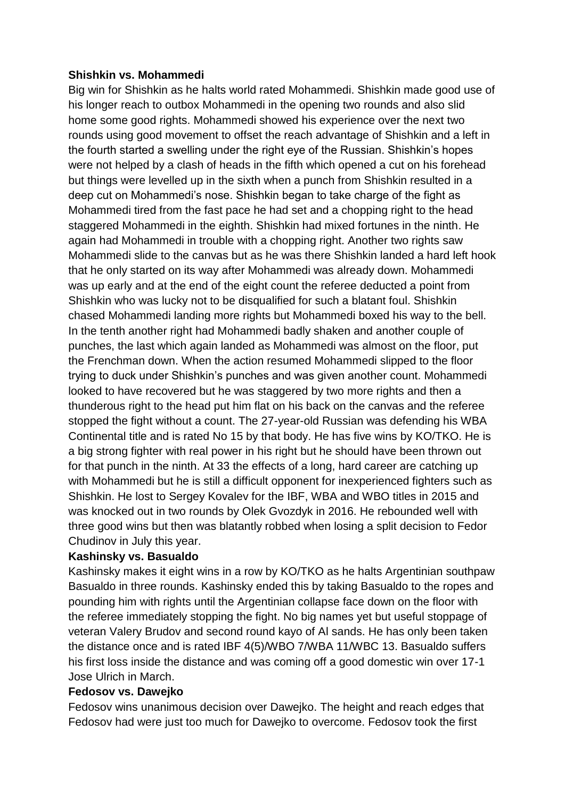#### **Shishkin vs. Mohammedi**

Big win for Shishkin as he halts world rated Mohammedi. Shishkin made good use of his longer reach to outbox Mohammedi in the opening two rounds and also slid home some good rights. Mohammedi showed his experience over the next two rounds using good movement to offset the reach advantage of Shishkin and a left in the fourth started a swelling under the right eye of the Russian. Shishkin's hopes were not helped by a clash of heads in the fifth which opened a cut on his forehead but things were levelled up in the sixth when a punch from Shishkin resulted in a deep cut on Mohammedi's nose. Shishkin began to take charge of the fight as Mohammedi tired from the fast pace he had set and a chopping right to the head staggered Mohammedi in the eighth. Shishkin had mixed fortunes in the ninth. He again had Mohammedi in trouble with a chopping right. Another two rights saw Mohammedi slide to the canvas but as he was there Shishkin landed a hard left hook that he only started on its way after Mohammedi was already down. Mohammedi was up early and at the end of the eight count the referee deducted a point from Shishkin who was lucky not to be disqualified for such a blatant foul. Shishkin chased Mohammedi landing more rights but Mohammedi boxed his way to the bell. In the tenth another right had Mohammedi badly shaken and another couple of punches, the last which again landed as Mohammedi was almost on the floor, put the Frenchman down. When the action resumed Mohammedi slipped to the floor trying to duck under Shishkin's punches and was given another count. Mohammedi looked to have recovered but he was staggered by two more rights and then a thunderous right to the head put him flat on his back on the canvas and the referee stopped the fight without a count. The 27-year-old Russian was defending his WBA Continental title and is rated No 15 by that body. He has five wins by KO/TKO. He is a big strong fighter with real power in his right but he should have been thrown out for that punch in the ninth. At 33 the effects of a long, hard career are catching up with Mohammedi but he is still a difficult opponent for inexperienced fighters such as Shishkin. He lost to Sergey Kovalev for the IBF, WBA and WBO titles in 2015 and was knocked out in two rounds by Olek Gvozdyk in 2016. He rebounded well with three good wins but then was blatantly robbed when losing a split decision to Fedor Chudinov in July this year.

#### **Kashinsky vs. Basualdo**

Kashinsky makes it eight wins in a row by KO/TKO as he halts Argentinian southpaw Basualdo in three rounds. Kashinsky ended this by taking Basualdo to the ropes and pounding him with rights until the Argentinian collapse face down on the floor with the referee immediately stopping the fight. No big names yet but useful stoppage of veteran Valery Brudov and second round kayo of Al sands. He has only been taken the distance once and is rated IBF 4(5)/WBO 7/WBA 11/WBC 13. Basualdo suffers his first loss inside the distance and was coming off a good domestic win over 17-1 Jose Ulrich in March.

#### **Fedosov vs. Dawejko**

Fedosov wins unanimous decision over Dawejko. The height and reach edges that Fedosov had were just too much for Dawejko to overcome. Fedosov took the first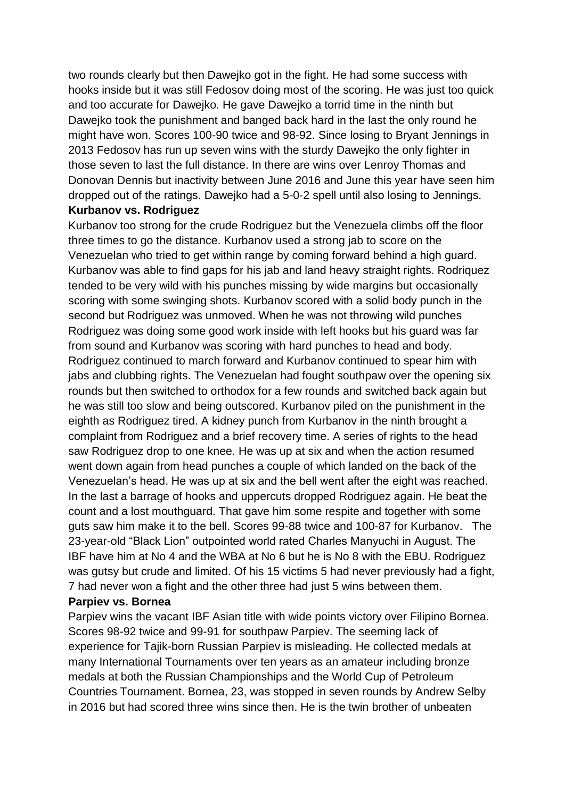two rounds clearly but then Dawejko got in the fight. He had some success with hooks inside but it was still Fedosov doing most of the scoring. He was just too quick and too accurate for Dawejko. He gave Dawejko a torrid time in the ninth but Dawejko took the punishment and banged back hard in the last the only round he might have won. Scores 100-90 twice and 98-92. Since losing to Bryant Jennings in 2013 Fedosov has run up seven wins with the sturdy Dawejko the only fighter in those seven to last the full distance. In there are wins over Lenroy Thomas and Donovan Dennis but inactivity between June 2016 and June this year have seen him dropped out of the ratings. Dawejko had a 5-0-2 spell until also losing to Jennings.

# **Kurbanov vs. Rodriguez**

Kurbanov too strong for the crude Rodriguez but the Venezuela climbs off the floor three times to go the distance. Kurbanov used a strong jab to score on the Venezuelan who tried to get within range by coming forward behind a high guard. Kurbanov was able to find gaps for his jab and land heavy straight rights. Rodriquez tended to be very wild with his punches missing by wide margins but occasionally scoring with some swinging shots. Kurbanov scored with a solid body punch in the second but Rodriguez was unmoved. When he was not throwing wild punches Rodriguez was doing some good work inside with left hooks but his guard was far from sound and Kurbanov was scoring with hard punches to head and body. Rodriguez continued to march forward and Kurbanov continued to spear him with jabs and clubbing rights. The Venezuelan had fought southpaw over the opening six rounds but then switched to orthodox for a few rounds and switched back again but he was still too slow and being outscored. Kurbanov piled on the punishment in the eighth as Rodriguez tired. A kidney punch from Kurbanov in the ninth brought a complaint from Rodriguez and a brief recovery time. A series of rights to the head saw Rodriguez drop to one knee. He was up at six and when the action resumed went down again from head punches a couple of which landed on the back of the Venezuelan's head. He was up at six and the bell went after the eight was reached. In the last a barrage of hooks and uppercuts dropped Rodriguez again. He beat the count and a lost mouthguard. That gave him some respite and together with some guts saw him make it to the bell. Scores 99-88 twice and 100-87 for Kurbanov. The 23-year-old "Black Lion" outpointed world rated Charles Manyuchi in August. The IBF have him at No 4 and the WBA at No 6 but he is No 8 with the EBU. Rodriguez was gutsy but crude and limited. Of his 15 victims 5 had never previously had a fight, 7 had never won a fight and the other three had just 5 wins between them.

#### **Parpiev vs. Bornea**

Parpiev wins the vacant IBF Asian title with wide points victory over Filipino Bornea. Scores 98-92 twice and 99-91 for southpaw Parpiev. The seeming lack of experience for Tajik-born Russian Parpiev is misleading. He collected medals at many International Tournaments over ten years as an amateur including bronze medals at both the Russian Championships and the World Cup of Petroleum Countries Tournament. Bornea, 23, was stopped in seven rounds by Andrew Selby in 2016 but had scored three wins since then. He is the twin brother of unbeaten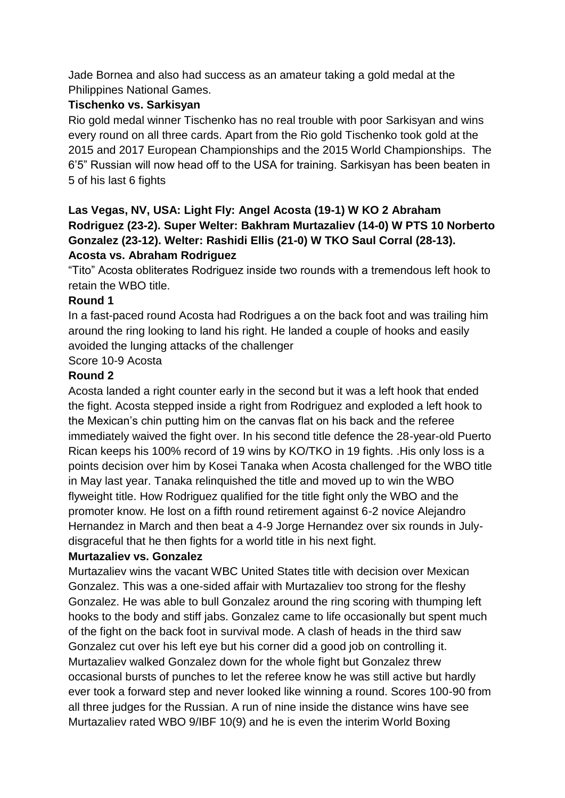Jade Bornea and also had success as an amateur taking a gold medal at the Philippines National Games.

#### **Tischenko vs. Sarkisyan**

Rio gold medal winner Tischenko has no real trouble with poor Sarkisyan and wins every round on all three cards. Apart from the Rio gold Tischenko took gold at the 2015 and 2017 European Championships and the 2015 World Championships. The 6'5" Russian will now head off to the USA for training. Sarkisyan has been beaten in 5 of his last 6 fights

#### **Las Vegas, NV, USA: Light Fly: Angel Acosta (19-1) W KO 2 Abraham Rodriguez (23-2). Super Welter: Bakhram Murtazaliev (14-0) W PTS 10 Norberto Gonzalez (23-12). Welter: Rashidi Ellis (21-0) W TKO Saul Corral (28-13). Acosta vs. Abraham Rodriguez**

"Tito" Acosta obliterates Rodriguez inside two rounds with a tremendous left hook to retain the WBO title.

#### **Round 1**

In a fast-paced round Acosta had Rodrigues a on the back foot and was trailing him around the ring looking to land his right. He landed a couple of hooks and easily avoided the lunging attacks of the challenger

Score 10-9 Acosta

#### **Round 2**

Acosta landed a right counter early in the second but it was a left hook that ended the fight. Acosta stepped inside a right from Rodriguez and exploded a left hook to the Mexican's chin putting him on the canvas flat on his back and the referee immediately waived the fight over. In his second title defence the 28-year-old Puerto Rican keeps his 100% record of 19 wins by KO/TKO in 19 fights. .His only loss is a points decision over him by Kosei Tanaka when Acosta challenged for the WBO title in May last year. Tanaka relinquished the title and moved up to win the WBO flyweight title. How Rodriguez qualified for the title fight only the WBO and the promoter know. He lost on a fifth round retirement against 6-2 novice Alejandro Hernandez in March and then beat a 4-9 Jorge Hernandez over six rounds in Julydisgraceful that he then fights for a world title in his next fight.

#### **Murtazaliev vs. Gonzalez**

Murtazaliev wins the vacant WBC United States title with decision over Mexican Gonzalez. This was a one-sided affair with Murtazaliev too strong for the fleshy Gonzalez. He was able to bull Gonzalez around the ring scoring with thumping left hooks to the body and stiff jabs. Gonzalez came to life occasionally but spent much of the fight on the back foot in survival mode. A clash of heads in the third saw Gonzalez cut over his left eye but his corner did a good job on controlling it. Murtazaliev walked Gonzalez down for the whole fight but Gonzalez threw occasional bursts of punches to let the referee know he was still active but hardly ever took a forward step and never looked like winning a round. Scores 100-90 from all three judges for the Russian. A run of nine inside the distance wins have see Murtazaliev rated WBO 9/IBF 10(9) and he is even the interim World Boxing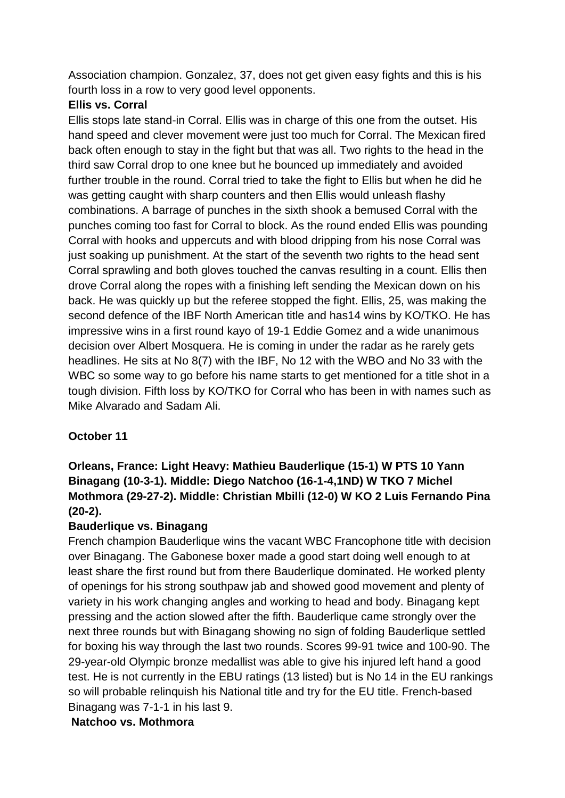Association champion. Gonzalez, 37, does not get given easy fights and this is his fourth loss in a row to very good level opponents.

#### **Ellis vs. Corral**

Ellis stops late stand-in Corral. Ellis was in charge of this one from the outset. His hand speed and clever movement were just too much for Corral. The Mexican fired back often enough to stay in the fight but that was all. Two rights to the head in the third saw Corral drop to one knee but he bounced up immediately and avoided further trouble in the round. Corral tried to take the fight to Ellis but when he did he was getting caught with sharp counters and then Ellis would unleash flashy combinations. A barrage of punches in the sixth shook a bemused Corral with the punches coming too fast for Corral to block. As the round ended Ellis was pounding Corral with hooks and uppercuts and with blood dripping from his nose Corral was just soaking up punishment. At the start of the seventh two rights to the head sent Corral sprawling and both gloves touched the canvas resulting in a count. Ellis then drove Corral along the ropes with a finishing left sending the Mexican down on his back. He was quickly up but the referee stopped the fight. Ellis, 25, was making the second defence of the IBF North American title and has14 wins by KO/TKO. He has impressive wins in a first round kayo of 19-1 Eddie Gomez and a wide unanimous decision over Albert Mosquera. He is coming in under the radar as he rarely gets headlines. He sits at No 8(7) with the IBF, No 12 with the WBO and No 33 with the WBC so some way to go before his name starts to get mentioned for a title shot in a tough division. Fifth loss by KO/TKO for Corral who has been in with names such as Mike Alvarado and Sadam Ali.

### **October 11**

## **Orleans, France: Light Heavy: Mathieu Bauderlique (15-1) W PTS 10 Yann Binagang (10-3-1). Middle: Diego Natchoo (16-1-4,1ND) W TKO 7 Michel Mothmora (29-27-2). Middle: Christian Mbilli (12-0) W KO 2 Luis Fernando Pina (20-2).**

#### **Bauderlique vs. Binagang**

French champion Bauderlique wins the vacant WBC Francophone title with decision over Binagang. The Gabonese boxer made a good start doing well enough to at least share the first round but from there Bauderlique dominated. He worked plenty of openings for his strong southpaw jab and showed good movement and plenty of variety in his work changing angles and working to head and body. Binagang kept pressing and the action slowed after the fifth. Bauderlique came strongly over the next three rounds but with Binagang showing no sign of folding Bauderlique settled for boxing his way through the last two rounds. Scores 99-91 twice and 100-90. The 29-year-old Olympic bronze medallist was able to give his injured left hand a good test. He is not currently in the EBU ratings (13 listed) but is No 14 in the EU rankings so will probable relinquish his National title and try for the EU title. French-based Binagang was 7-1-1 in his last 9.

### **Natchoo vs. Mothmora**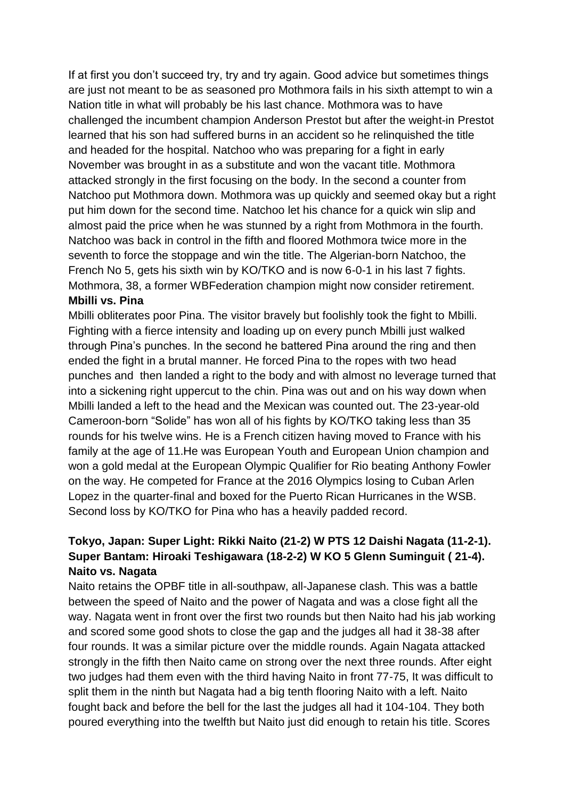If at first you don't succeed try, try and try again. Good advice but sometimes things are just not meant to be as seasoned pro Mothmora fails in his sixth attempt to win a Nation title in what will probably be his last chance. Mothmora was to have challenged the incumbent champion Anderson Prestot but after the weight-in Prestot learned that his son had suffered burns in an accident so he relinquished the title and headed for the hospital. Natchoo who was preparing for a fight in early November was brought in as a substitute and won the vacant title. Mothmora attacked strongly in the first focusing on the body. In the second a counter from Natchoo put Mothmora down. Mothmora was up quickly and seemed okay but a right put him down for the second time. Natchoo let his chance for a quick win slip and almost paid the price when he was stunned by a right from Mothmora in the fourth. Natchoo was back in control in the fifth and floored Mothmora twice more in the seventh to force the stoppage and win the title. The Algerian-born Natchoo, the French No 5, gets his sixth win by KO/TKO and is now 6-0-1 in his last 7 fights. Mothmora, 38, a former WBFederation champion might now consider retirement. **Mbilli vs. Pina**

Mbilli obliterates poor Pina. The visitor bravely but foolishly took the fight to Mbilli. Fighting with a fierce intensity and loading up on every punch Mbilli just walked through Pina's punches. In the second he battered Pina around the ring and then ended the fight in a brutal manner. He forced Pina to the ropes with two head punches and then landed a right to the body and with almost no leverage turned that into a sickening right uppercut to the chin. Pina was out and on his way down when Mbilli landed a left to the head and the Mexican was counted out. The 23-year-old Cameroon-born "Solide" has won all of his fights by KO/TKO taking less than 35 rounds for his twelve wins. He is a French citizen having moved to France with his family at the age of 11.He was European Youth and European Union champion and won a gold medal at the European Olympic Qualifier for Rio beating Anthony Fowler on the way. He competed for France at the 2016 Olympics losing to Cuban Arlen Lopez in the quarter-final and boxed for the Puerto Rican Hurricanes in the WSB. Second loss by KO/TKO for Pina who has a heavily padded record.

### **Tokyo, Japan: Super Light: Rikki Naito (21-2) W PTS 12 Daishi Nagata (11-2-1). Super Bantam: Hiroaki Teshigawara (18-2-2) W KO 5 Glenn Suminguit ( 21-4). Naito vs. Nagata**

Naito retains the OPBF title in all-southpaw, all-Japanese clash. This was a battle between the speed of Naito and the power of Nagata and was a close fight all the way. Nagata went in front over the first two rounds but then Naito had his jab working and scored some good shots to close the gap and the judges all had it 38-38 after four rounds. It was a similar picture over the middle rounds. Again Nagata attacked strongly in the fifth then Naito came on strong over the next three rounds. After eight two judges had them even with the third having Naito in front 77-75, It was difficult to split them in the ninth but Nagata had a big tenth flooring Naito with a left. Naito fought back and before the bell for the last the judges all had it 104-104. They both poured everything into the twelfth but Naito just did enough to retain his title. Scores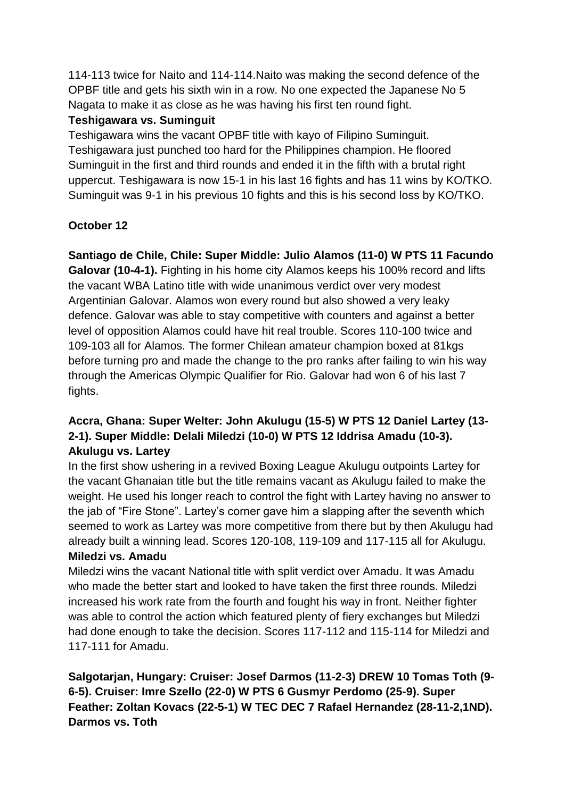114-113 twice for Naito and 114-114.Naito was making the second defence of the OPBF title and gets his sixth win in a row. No one expected the Japanese No 5 Nagata to make it as close as he was having his first ten round fight.

#### **Teshigawara vs. Suminguit**

Teshigawara wins the vacant OPBF title with kayo of Filipino Suminguit. Teshigawara just punched too hard for the Philippines champion. He floored Suminguit in the first and third rounds and ended it in the fifth with a brutal right uppercut. Teshigawara is now 15-1 in his last 16 fights and has 11 wins by KO/TKO. Suminguit was 9-1 in his previous 10 fights and this is his second loss by KO/TKO.

## **October 12**

**Santiago de Chile, Chile: Super Middle: Julio Alamos (11-0) W PTS 11 Facundo Galovar (10-4-1).** Fighting in his home city Alamos keeps his 100% record and lifts the vacant WBA Latino title with wide unanimous verdict over very modest Argentinian Galovar. Alamos won every round but also showed a very leaky defence. Galovar was able to stay competitive with counters and against a better level of opposition Alamos could have hit real trouble. Scores 110-100 twice and 109-103 all for Alamos. The former Chilean amateur champion boxed at 81kgs before turning pro and made the change to the pro ranks after failing to win his way through the Americas Olympic Qualifier for Rio. Galovar had won 6 of his last 7 fights.

### **Accra, Ghana: Super Welter: John Akulugu (15-5) W PTS 12 Daniel Lartey (13- 2-1). Super Middle: Delali Miledzi (10-0) W PTS 12 Iddrisa Amadu (10-3). Akulugu vs. Lartey**

In the first show ushering in a revived Boxing League Akulugu outpoints Lartey for the vacant Ghanaian title but the title remains vacant as Akulugu failed to make the weight. He used his longer reach to control the fight with Lartey having no answer to the jab of "Fire Stone". Lartey's corner gave him a slapping after the seventh which seemed to work as Lartey was more competitive from there but by then Akulugu had already built a winning lead. Scores 120-108, 119-109 and 117-115 all for Akulugu.

### **Miledzi vs. Amadu**

Miledzi wins the vacant National title with split verdict over Amadu. It was Amadu who made the better start and looked to have taken the first three rounds. Miledzi increased his work rate from the fourth and fought his way in front. Neither fighter was able to control the action which featured plenty of fiery exchanges but Miledzi had done enough to take the decision. Scores 117-112 and 115-114 for Miledzi and 117-111 for Amadu.

**Salgotarjan, Hungary: Cruiser: Josef Darmos (11-2-3) DREW 10 Tomas Toth (9- 6-5). Cruiser: Imre Szello (22-0) W PTS 6 Gusmyr Perdomo (25-9). Super Feather: Zoltan Kovacs (22-5-1) W TEC DEC 7 Rafael Hernandez (28-11-2,1ND). Darmos vs. Toth**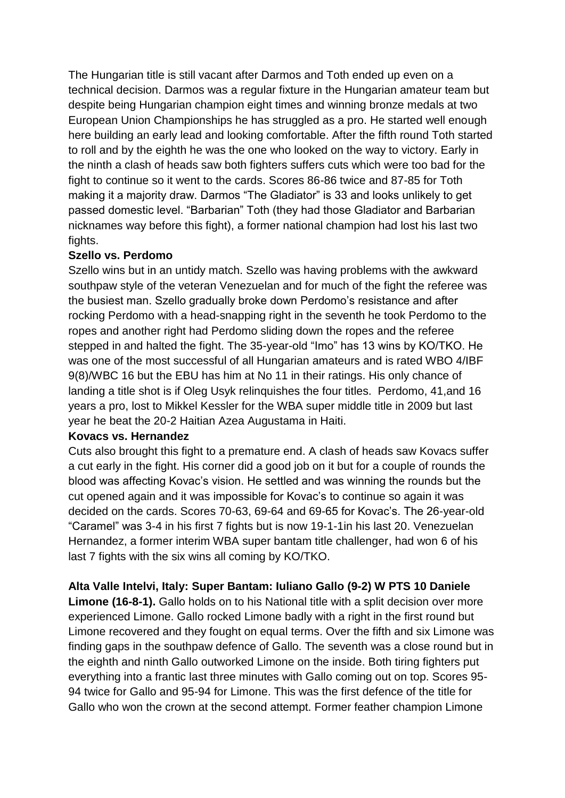The Hungarian title is still vacant after Darmos and Toth ended up even on a technical decision. Darmos was a regular fixture in the Hungarian amateur team but despite being Hungarian champion eight times and winning bronze medals at two European Union Championships he has struggled as a pro. He started well enough here building an early lead and looking comfortable. After the fifth round Toth started to roll and by the eighth he was the one who looked on the way to victory. Early in the ninth a clash of heads saw both fighters suffers cuts which were too bad for the fight to continue so it went to the cards. Scores 86-86 twice and 87-85 for Toth making it a majority draw. Darmos "The Gladiator" is 33 and looks unlikely to get passed domestic level. "Barbarian" Toth (they had those Gladiator and Barbarian nicknames way before this fight), a former national champion had lost his last two fights.

#### **Szello vs. Perdomo**

Szello wins but in an untidy match. Szello was having problems with the awkward southpaw style of the veteran Venezuelan and for much of the fight the referee was the busiest man. Szello gradually broke down Perdomo's resistance and after rocking Perdomo with a head-snapping right in the seventh he took Perdomo to the ropes and another right had Perdomo sliding down the ropes and the referee stepped in and halted the fight. The 35-year-old "Imo" has 13 wins by KO/TKO. He was one of the most successful of all Hungarian amateurs and is rated WBO 4/IBF 9(8)/WBC 16 but the EBU has him at No 11 in their ratings. His only chance of landing a title shot is if Oleg Usyk relinquishes the four titles. Perdomo, 41,and 16 years a pro, lost to Mikkel Kessler for the WBA super middle title in 2009 but last year he beat the 20-2 Haitian Azea Augustama in Haiti.

#### **Kovacs vs. Hernandez**

Cuts also brought this fight to a premature end. A clash of heads saw Kovacs suffer a cut early in the fight. His corner did a good job on it but for a couple of rounds the blood was affecting Kovac's vision. He settled and was winning the rounds but the cut opened again and it was impossible for Kovac's to continue so again it was decided on the cards. Scores 70-63, 69-64 and 69-65 for Kovac's. The 26-year-old "Caramel" was 3-4 in his first 7 fights but is now 19-1-1in his last 20. Venezuelan Hernandez, a former interim WBA super bantam title challenger, had won 6 of his last 7 fights with the six wins all coming by KO/TKO.

**Alta Valle Intelvi, Italy: Super Bantam: Iuliano Gallo (9-2) W PTS 10 Daniele** 

**Limone (16-8-1).** Gallo holds on to his National title with a split decision over more experienced Limone. Gallo rocked Limone badly with a right in the first round but Limone recovered and they fought on equal terms. Over the fifth and six Limone was finding gaps in the southpaw defence of Gallo. The seventh was a close round but in the eighth and ninth Gallo outworked Limone on the inside. Both tiring fighters put everything into a frantic last three minutes with Gallo coming out on top. Scores 95- 94 twice for Gallo and 95-94 for Limone. This was the first defence of the title for Gallo who won the crown at the second attempt. Former feather champion Limone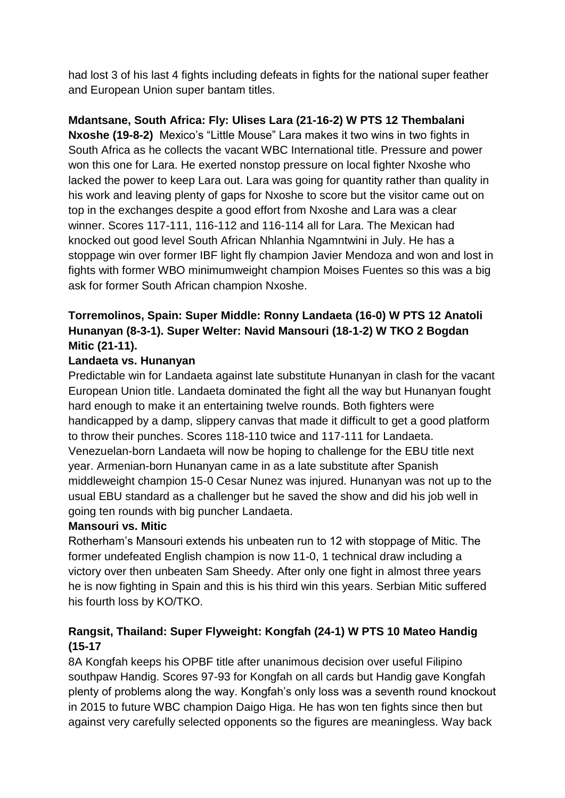had lost 3 of his last 4 fights including defeats in fights for the national super feather and European Union super bantam titles.

# **Mdantsane, South Africa: Fly: Ulises Lara (21-16-2) W PTS 12 Thembalani**

**Nxoshe (19-8-2)** Mexico's "Little Mouse" Lara makes it two wins in two fights in South Africa as he collects the vacant WBC International title. Pressure and power won this one for Lara. He exerted nonstop pressure on local fighter Nxoshe who lacked the power to keep Lara out. Lara was going for quantity rather than quality in his work and leaving plenty of gaps for Nxoshe to score but the visitor came out on top in the exchanges despite a good effort from Nxoshe and Lara was a clear winner. Scores 117-111, 116-112 and 116-114 all for Lara. The Mexican had knocked out good level South African Nhlanhia Ngamntwini in July. He has a stoppage win over former IBF light fly champion Javier Mendoza and won and lost in fights with former WBO minimumweight champion Moises Fuentes so this was a big ask for former South African champion Nxoshe.

## **Torremolinos, Spain: Super Middle: Ronny Landaeta (16-0) W PTS 12 Anatoli Hunanyan (8-3-1). Super Welter: Navid Mansouri (18-1-2) W TKO 2 Bogdan Mitic (21-11).**

#### **Landaeta vs. Hunanyan**

Predictable win for Landaeta against late substitute Hunanyan in clash for the vacant European Union title. Landaeta dominated the fight all the way but Hunanyan fought hard enough to make it an entertaining twelve rounds. Both fighters were handicapped by a damp, slippery canvas that made it difficult to get a good platform to throw their punches. Scores 118-110 twice and 117-111 for Landaeta. Venezuelan-born Landaeta will now be hoping to challenge for the EBU title next year. Armenian-born Hunanyan came in as a late substitute after Spanish middleweight champion 15-0 Cesar Nunez was injured. Hunanyan was not up to the usual EBU standard as a challenger but he saved the show and did his job well in going ten rounds with big puncher Landaeta.

#### **Mansouri vs. Mitic**

Rotherham's Mansouri extends his unbeaten run to 12 with stoppage of Mitic. The former undefeated English champion is now 11-0, 1 technical draw including a victory over then unbeaten Sam Sheedy. After only one fight in almost three years he is now fighting in Spain and this is his third win this years. Serbian Mitic suffered his fourth loss by KO/TKO.

### **Rangsit, Thailand: Super Flyweight: Kongfah (24-1) W PTS 10 Mateo Handig (15-17**

8A Kongfah keeps his OPBF title after unanimous decision over useful Filipino southpaw Handig. Scores 97-93 for Kongfah on all cards but Handig gave Kongfah plenty of problems along the way. Kongfah's only loss was a seventh round knockout in 2015 to future WBC champion Daigo Higa. He has won ten fights since then but against very carefully selected opponents so the figures are meaningless. Way back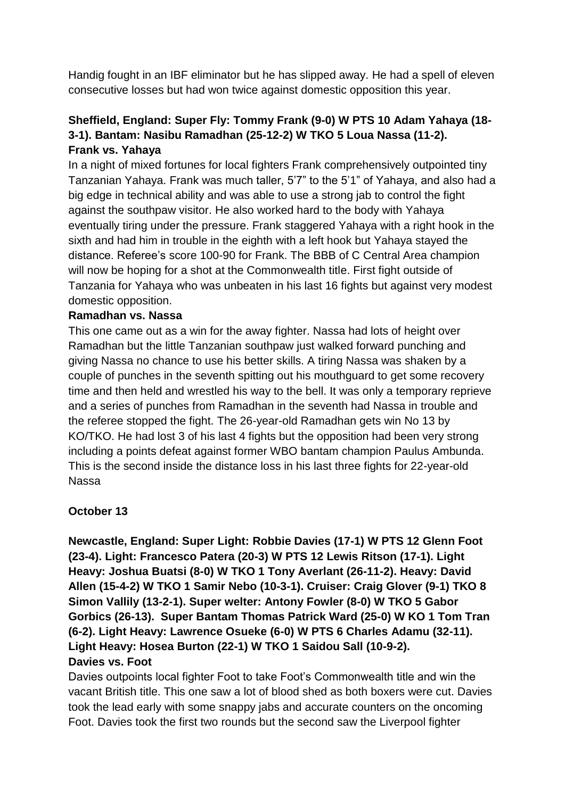Handig fought in an IBF eliminator but he has slipped away. He had a spell of eleven consecutive losses but had won twice against domestic opposition this year.

### **Sheffield, England: Super Fly: Tommy Frank (9-0) W PTS 10 Adam Yahaya (18- 3-1). Bantam: Nasibu Ramadhan (25-12-2) W TKO 5 Loua Nassa (11-2). Frank vs. Yahaya**

In a night of mixed fortunes for local fighters Frank comprehensively outpointed tiny Tanzanian Yahaya. Frank was much taller, 5'7" to the 5'1" of Yahaya, and also had a big edge in technical ability and was able to use a strong jab to control the fight against the southpaw visitor. He also worked hard to the body with Yahaya eventually tiring under the pressure. Frank staggered Yahaya with a right hook in the sixth and had him in trouble in the eighth with a left hook but Yahaya stayed the distance. Referee's score 100-90 for Frank. The BBB of C Central Area champion will now be hoping for a shot at the Commonwealth title. First fight outside of Tanzania for Yahaya who was unbeaten in his last 16 fights but against very modest domestic opposition.

#### **Ramadhan vs. Nassa**

This one came out as a win for the away fighter. Nassa had lots of height over Ramadhan but the little Tanzanian southpaw just walked forward punching and giving Nassa no chance to use his better skills. A tiring Nassa was shaken by a couple of punches in the seventh spitting out his mouthguard to get some recovery time and then held and wrestled his way to the bell. It was only a temporary reprieve and a series of punches from Ramadhan in the seventh had Nassa in trouble and the referee stopped the fight. The 26-year-old Ramadhan gets win No 13 by KO/TKO. He had lost 3 of his last 4 fights but the opposition had been very strong including a points defeat against former WBO bantam champion Paulus Ambunda. This is the second inside the distance loss in his last three fights for 22-year-old Nassa

#### **October 13**

**Newcastle, England: Super Light: Robbie Davies (17-1) W PTS 12 Glenn Foot (23-4). Light: Francesco Patera (20-3) W PTS 12 Lewis Ritson (17-1). Light Heavy: Joshua Buatsi (8-0) W TKO 1 Tony Averlant (26-11-2). Heavy: David Allen (15-4-2) W TKO 1 Samir Nebo (10-3-1). Cruiser: Craig Glover (9-1) TKO 8 Simon Vallily (13-2-1). Super welter: Antony Fowler (8-0) W TKO 5 Gabor Gorbics (26-13). Super Bantam Thomas Patrick Ward (25-0) W KO 1 Tom Tran (6-2). Light Heavy: Lawrence Osueke (6-0) W PTS 6 Charles Adamu (32-11). Light Heavy: Hosea Burton (22-1) W TKO 1 Saidou Sall (10-9-2). Davies vs. Foot** 

Davies outpoints local fighter Foot to take Foot's Commonwealth title and win the vacant British title. This one saw a lot of blood shed as both boxers were cut. Davies took the lead early with some snappy jabs and accurate counters on the oncoming Foot. Davies took the first two rounds but the second saw the Liverpool fighter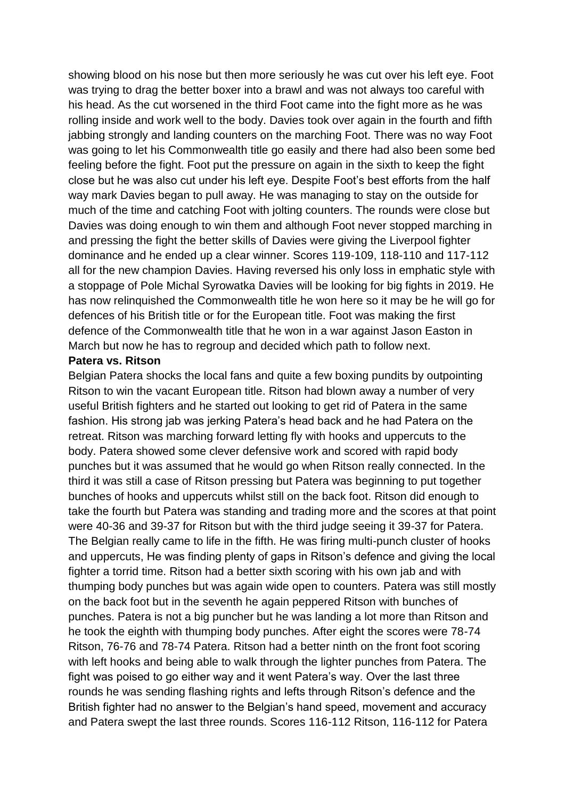showing blood on his nose but then more seriously he was cut over his left eye. Foot was trying to drag the better boxer into a brawl and was not always too careful with his head. As the cut worsened in the third Foot came into the fight more as he was rolling inside and work well to the body. Davies took over again in the fourth and fifth jabbing strongly and landing counters on the marching Foot. There was no way Foot was going to let his Commonwealth title go easily and there had also been some bed feeling before the fight. Foot put the pressure on again in the sixth to keep the fight close but he was also cut under his left eye. Despite Foot's best efforts from the half way mark Davies began to pull away. He was managing to stay on the outside for much of the time and catching Foot with jolting counters. The rounds were close but Davies was doing enough to win them and although Foot never stopped marching in and pressing the fight the better skills of Davies were giving the Liverpool fighter dominance and he ended up a clear winner. Scores 119-109, 118-110 and 117-112 all for the new champion Davies. Having reversed his only loss in emphatic style with a stoppage of Pole Michal Syrowatka Davies will be looking for big fights in 2019. He has now relinquished the Commonwealth title he won here so it may be he will go for defences of his British title or for the European title. Foot was making the first defence of the Commonwealth title that he won in a war against Jason Easton in March but now he has to regroup and decided which path to follow next.

#### **Patera vs. Ritson**

Belgian Patera shocks the local fans and quite a few boxing pundits by outpointing Ritson to win the vacant European title. Ritson had blown away a number of very useful British fighters and he started out looking to get rid of Patera in the same fashion. His strong jab was jerking Patera's head back and he had Patera on the retreat. Ritson was marching forward letting fly with hooks and uppercuts to the body. Patera showed some clever defensive work and scored with rapid body punches but it was assumed that he would go when Ritson really connected. In the third it was still a case of Ritson pressing but Patera was beginning to put together bunches of hooks and uppercuts whilst still on the back foot. Ritson did enough to take the fourth but Patera was standing and trading more and the scores at that point were 40-36 and 39-37 for Ritson but with the third judge seeing it 39-37 for Patera. The Belgian really came to life in the fifth. He was firing multi-punch cluster of hooks and uppercuts, He was finding plenty of gaps in Ritson's defence and giving the local fighter a torrid time. Ritson had a better sixth scoring with his own jab and with thumping body punches but was again wide open to counters. Patera was still mostly on the back foot but in the seventh he again peppered Ritson with bunches of punches. Patera is not a big puncher but he was landing a lot more than Ritson and he took the eighth with thumping body punches. After eight the scores were 78-74 Ritson, 76-76 and 78-74 Patera. Ritson had a better ninth on the front foot scoring with left hooks and being able to walk through the lighter punches from Patera. The fight was poised to go either way and it went Patera's way. Over the last three rounds he was sending flashing rights and lefts through Ritson's defence and the British fighter had no answer to the Belgian's hand speed, movement and accuracy and Patera swept the last three rounds. Scores 116-112 Ritson, 116-112 for Patera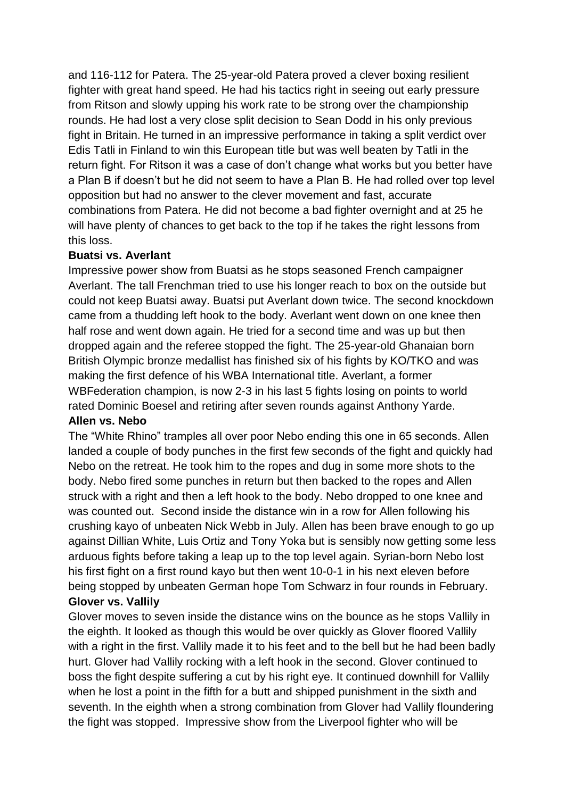and 116-112 for Patera. The 25-year-old Patera proved a clever boxing resilient fighter with great hand speed. He had his tactics right in seeing out early pressure from Ritson and slowly upping his work rate to be strong over the championship rounds. He had lost a very close split decision to Sean Dodd in his only previous fight in Britain. He turned in an impressive performance in taking a split verdict over Edis Tatli in Finland to win this European title but was well beaten by Tatli in the return fight. For Ritson it was a case of don't change what works but you better have a Plan B if doesn't but he did not seem to have a Plan B. He had rolled over top level opposition but had no answer to the clever movement and fast, accurate combinations from Patera. He did not become a bad fighter overnight and at 25 he will have plenty of chances to get back to the top if he takes the right lessons from this loss.

#### **Buatsi vs. Averlant**

Impressive power show from Buatsi as he stops seasoned French campaigner Averlant. The tall Frenchman tried to use his longer reach to box on the outside but could not keep Buatsi away. Buatsi put Averlant down twice. The second knockdown came from a thudding left hook to the body. Averlant went down on one knee then half rose and went down again. He tried for a second time and was up but then dropped again and the referee stopped the fight. The 25-year-old Ghanaian born British Olympic bronze medallist has finished six of his fights by KO/TKO and was making the first defence of his WBA International title. Averlant, a former WBFederation champion, is now 2-3 in his last 5 fights losing on points to world rated Dominic Boesel and retiring after seven rounds against Anthony Yarde.

#### **Allen vs. Nebo**

The "White Rhino" tramples all over poor Nebo ending this one in 65 seconds. Allen landed a couple of body punches in the first few seconds of the fight and quickly had Nebo on the retreat. He took him to the ropes and dug in some more shots to the body. Nebo fired some punches in return but then backed to the ropes and Allen struck with a right and then a left hook to the body. Nebo dropped to one knee and was counted out. Second inside the distance win in a row for Allen following his crushing kayo of unbeaten Nick Webb in July. Allen has been brave enough to go up against Dillian White, Luis Ortiz and Tony Yoka but is sensibly now getting some less arduous fights before taking a leap up to the top level again. Syrian-born Nebo lost his first fight on a first round kayo but then went 10-0-1 in his next eleven before being stopped by unbeaten German hope Tom Schwarz in four rounds in February. **Glover vs. Vallily**

Glover moves to seven inside the distance wins on the bounce as he stops Vallily in the eighth. It looked as though this would be over quickly as Glover floored Vallily with a right in the first. Vallily made it to his feet and to the bell but he had been badly hurt. Glover had Vallily rocking with a left hook in the second. Glover continued to boss the fight despite suffering a cut by his right eye. It continued downhill for Vallily when he lost a point in the fifth for a butt and shipped punishment in the sixth and seventh. In the eighth when a strong combination from Glover had Vallily floundering the fight was stopped. Impressive show from the Liverpool fighter who will be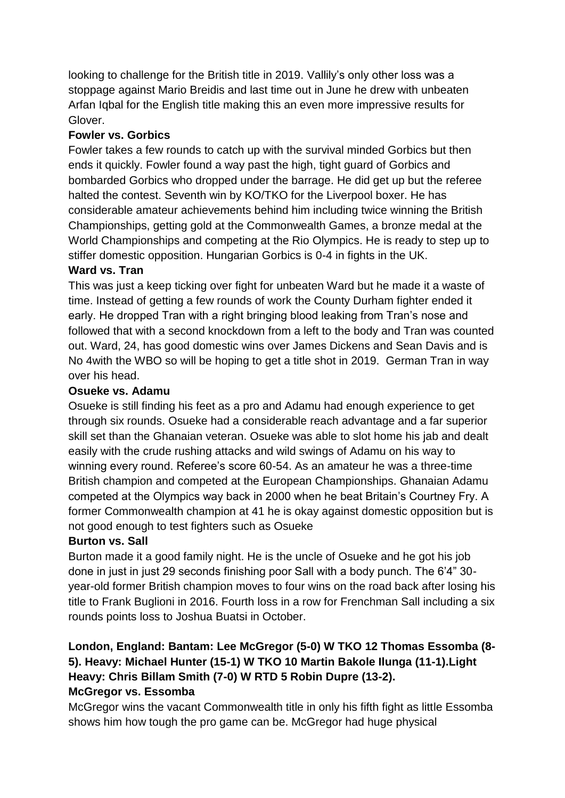looking to challenge for the British title in 2019. Vallily's only other loss was a stoppage against Mario Breidis and last time out in June he drew with unbeaten Arfan Iqbal for the English title making this an even more impressive results for Glover.

#### **Fowler vs. Gorbics**

Fowler takes a few rounds to catch up with the survival minded Gorbics but then ends it quickly. Fowler found a way past the high, tight guard of Gorbics and bombarded Gorbics who dropped under the barrage. He did get up but the referee halted the contest. Seventh win by KO/TKO for the Liverpool boxer. He has considerable amateur achievements behind him including twice winning the British Championships, getting gold at the Commonwealth Games, a bronze medal at the World Championships and competing at the Rio Olympics. He is ready to step up to stiffer domestic opposition. Hungarian Gorbics is 0-4 in fights in the UK.

#### **Ward vs. Tran**

This was just a keep ticking over fight for unbeaten Ward but he made it a waste of time. Instead of getting a few rounds of work the County Durham fighter ended it early. He dropped Tran with a right bringing blood leaking from Tran's nose and followed that with a second knockdown from a left to the body and Tran was counted out. Ward, 24, has good domestic wins over James Dickens and Sean Davis and is No 4with the WBO so will be hoping to get a title shot in 2019. German Tran in way over his head.

#### **Osueke vs. Adamu**

Osueke is still finding his feet as a pro and Adamu had enough experience to get through six rounds. Osueke had a considerable reach advantage and a far superior skill set than the Ghanaian veteran. Osueke was able to slot home his jab and dealt easily with the crude rushing attacks and wild swings of Adamu on his way to winning every round. Referee's score 60-54. As an amateur he was a three-time British champion and competed at the European Championships. Ghanaian Adamu competed at the Olympics way back in 2000 when he beat Britain's Courtney Fry. A former Commonwealth champion at 41 he is okay against domestic opposition but is not good enough to test fighters such as Osueke

#### **Burton vs. Sall**

Burton made it a good family night. He is the uncle of Osueke and he got his job done in just in just 29 seconds finishing poor Sall with a body punch. The 6'4" 30 year-old former British champion moves to four wins on the road back after losing his title to Frank Buglioni in 2016. Fourth loss in a row for Frenchman Sall including a six rounds points loss to Joshua Buatsi in October.

#### **London, England: Bantam: Lee McGregor (5-0) W TKO 12 Thomas Essomba (8- 5). Heavy: Michael Hunter (15-1) W TKO 10 Martin Bakole Ilunga (11-1).Light Heavy: Chris Billam Smith (7-0) W RTD 5 Robin Dupre (13-2). McGregor vs. Essomba**

McGregor wins the vacant Commonwealth title in only his fifth fight as little Essomba shows him how tough the pro game can be. McGregor had huge physical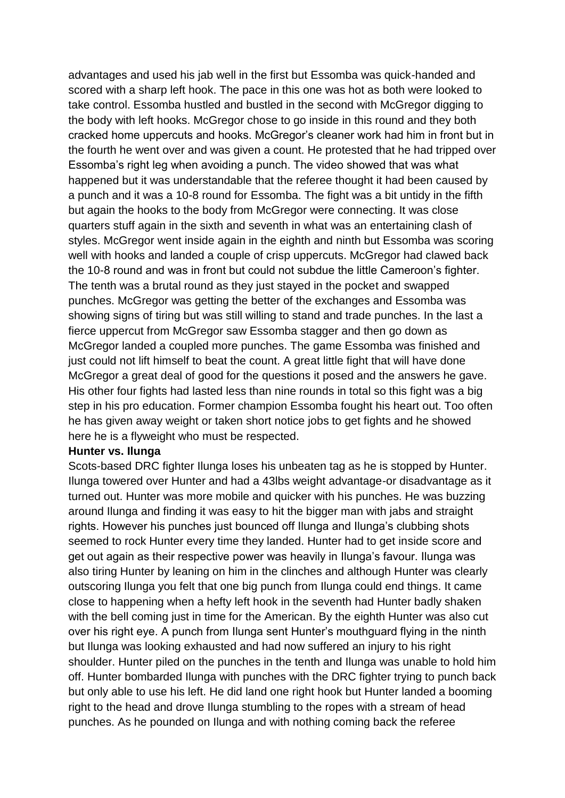advantages and used his jab well in the first but Essomba was quick-handed and scored with a sharp left hook. The pace in this one was hot as both were looked to take control. Essomba hustled and bustled in the second with McGregor digging to the body with left hooks. McGregor chose to go inside in this round and they both cracked home uppercuts and hooks. McGregor's cleaner work had him in front but in the fourth he went over and was given a count. He protested that he had tripped over Essomba's right leg when avoiding a punch. The video showed that was what happened but it was understandable that the referee thought it had been caused by a punch and it was a 10-8 round for Essomba. The fight was a bit untidy in the fifth but again the hooks to the body from McGregor were connecting. It was close quarters stuff again in the sixth and seventh in what was an entertaining clash of styles. McGregor went inside again in the eighth and ninth but Essomba was scoring well with hooks and landed a couple of crisp uppercuts. McGregor had clawed back the 10-8 round and was in front but could not subdue the little Cameroon's fighter. The tenth was a brutal round as they just stayed in the pocket and swapped punches. McGregor was getting the better of the exchanges and Essomba was showing signs of tiring but was still willing to stand and trade punches. In the last a fierce uppercut from McGregor saw Essomba stagger and then go down as McGregor landed a coupled more punches. The game Essomba was finished and just could not lift himself to beat the count. A great little fight that will have done McGregor a great deal of good for the questions it posed and the answers he gave. His other four fights had lasted less than nine rounds in total so this fight was a big step in his pro education. Former champion Essomba fought his heart out. Too often he has given away weight or taken short notice jobs to get fights and he showed here he is a flyweight who must be respected.

#### **Hunter vs. Ilunga**

Scots-based DRC fighter Ilunga loses his unbeaten tag as he is stopped by Hunter. Ilunga towered over Hunter and had a 43lbs weight advantage-or disadvantage as it turned out. Hunter was more mobile and quicker with his punches. He was buzzing around Ilunga and finding it was easy to hit the bigger man with jabs and straight rights. However his punches just bounced off Ilunga and Ilunga's clubbing shots seemed to rock Hunter every time they landed. Hunter had to get inside score and get out again as their respective power was heavily in Ilunga's favour. Ilunga was also tiring Hunter by leaning on him in the clinches and although Hunter was clearly outscoring Ilunga you felt that one big punch from Ilunga could end things. It came close to happening when a hefty left hook in the seventh had Hunter badly shaken with the bell coming just in time for the American. By the eighth Hunter was also cut over his right eye. A punch from Ilunga sent Hunter's mouthguard flying in the ninth but Ilunga was looking exhausted and had now suffered an injury to his right shoulder. Hunter piled on the punches in the tenth and Ilunga was unable to hold him off. Hunter bombarded Ilunga with punches with the DRC fighter trying to punch back but only able to use his left. He did land one right hook but Hunter landed a booming right to the head and drove Ilunga stumbling to the ropes with a stream of head punches. As he pounded on Ilunga and with nothing coming back the referee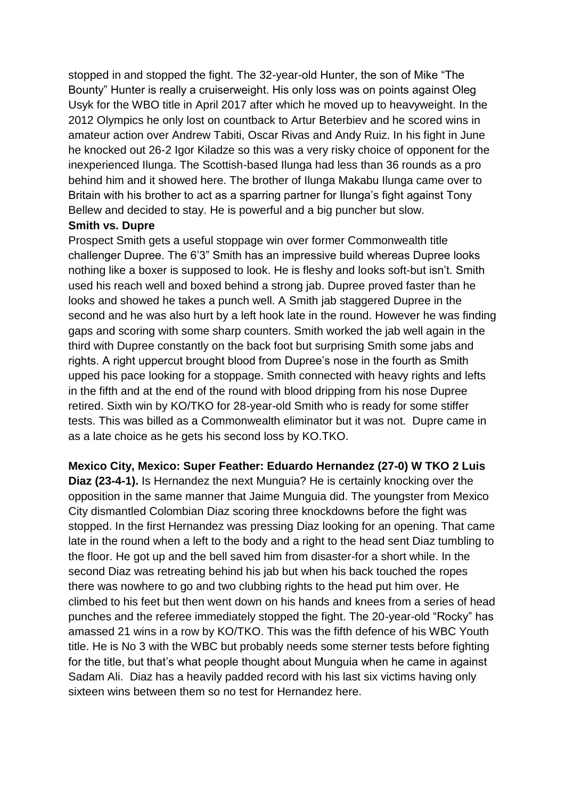stopped in and stopped the fight. The 32-year-old Hunter, the son of Mike "The Bounty" Hunter is really a cruiserweight. His only loss was on points against Oleg Usyk for the WBO title in April 2017 after which he moved up to heavyweight. In the 2012 Olympics he only lost on countback to Artur Beterbiev and he scored wins in amateur action over Andrew Tabiti, Oscar Rivas and Andy Ruiz. In his fight in June he knocked out 26-2 Igor Kiladze so this was a very risky choice of opponent for the inexperienced Ilunga. The Scottish-based Ilunga had less than 36 rounds as a pro behind him and it showed here. The brother of Ilunga Makabu Ilunga came over to Britain with his brother to act as a sparring partner for Ilunga's fight against Tony Bellew and decided to stay. He is powerful and a big puncher but slow.

#### **Smith vs. Dupre**

Prospect Smith gets a useful stoppage win over former Commonwealth title challenger Dupree. The 6'3" Smith has an impressive build whereas Dupree looks nothing like a boxer is supposed to look. He is fleshy and looks soft-but isn't. Smith used his reach well and boxed behind a strong jab. Dupree proved faster than he looks and showed he takes a punch well. A Smith jab staggered Dupree in the second and he was also hurt by a left hook late in the round. However he was finding gaps and scoring with some sharp counters. Smith worked the jab well again in the third with Dupree constantly on the back foot but surprising Smith some jabs and rights. A right uppercut brought blood from Dupree's nose in the fourth as Smith upped his pace looking for a stoppage. Smith connected with heavy rights and lefts in the fifth and at the end of the round with blood dripping from his nose Dupree retired. Sixth win by KO/TKO for 28-year-old Smith who is ready for some stiffer tests. This was billed as a Commonwealth eliminator but it was not. Dupre came in as a late choice as he gets his second loss by KO.TKO.

**Mexico City, Mexico: Super Feather: Eduardo Hernandez (27-0) W TKO 2 Luis Diaz (23-4-1).** Is Hernandez the next Munguia? He is certainly knocking over the opposition in the same manner that Jaime Munguia did. The youngster from Mexico City dismantled Colombian Diaz scoring three knockdowns before the fight was stopped. In the first Hernandez was pressing Diaz looking for an opening. That came late in the round when a left to the body and a right to the head sent Diaz tumbling to the floor. He got up and the bell saved him from disaster-for a short while. In the second Diaz was retreating behind his jab but when his back touched the ropes there was nowhere to go and two clubbing rights to the head put him over. He climbed to his feet but then went down on his hands and knees from a series of head punches and the referee immediately stopped the fight. The 20-year-old "Rocky" has amassed 21 wins in a row by KO/TKO. This was the fifth defence of his WBC Youth title. He is No 3 with the WBC but probably needs some sterner tests before fighting for the title, but that's what people thought about Munguia when he came in against Sadam Ali. Diaz has a heavily padded record with his last six victims having only sixteen wins between them so no test for Hernandez here.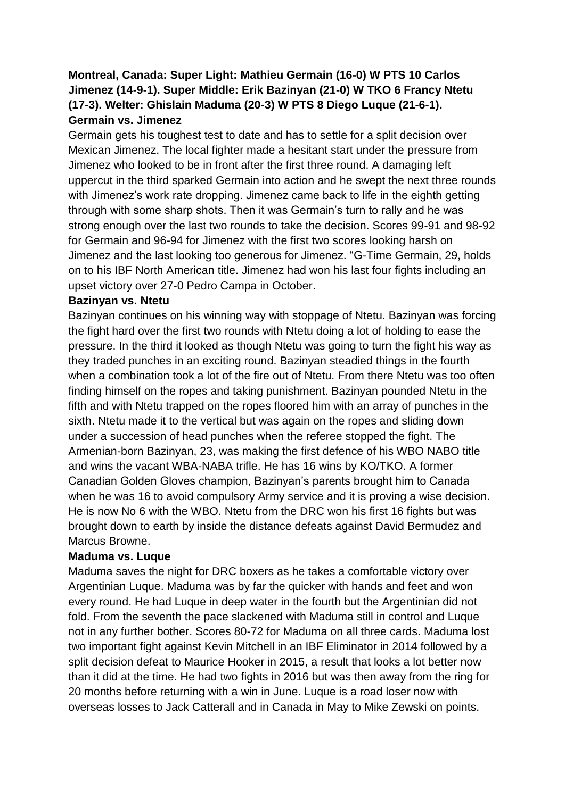#### **Montreal, Canada: Super Light: Mathieu Germain (16-0) W PTS 10 Carlos Jimenez (14-9-1). Super Middle: Erik Bazinyan (21-0) W TKO 6 Francy Ntetu (17-3). Welter: Ghislain Maduma (20-3) W PTS 8 Diego Luque (21-6-1). Germain vs. Jimenez**

Germain gets his toughest test to date and has to settle for a split decision over Mexican Jimenez. The local fighter made a hesitant start under the pressure from Jimenez who looked to be in front after the first three round. A damaging left uppercut in the third sparked Germain into action and he swept the next three rounds with Jimenez's work rate dropping. Jimenez came back to life in the eighth getting through with some sharp shots. Then it was Germain's turn to rally and he was strong enough over the last two rounds to take the decision. Scores 99-91 and 98-92 for Germain and 96-94 for Jimenez with the first two scores looking harsh on Jimenez and the last looking too generous for Jimenez. "G-Time Germain, 29, holds on to his IBF North American title. Jimenez had won his last four fights including an upset victory over 27-0 Pedro Campa in October.

#### **Bazinyan vs. Ntetu**

Bazinyan continues on his winning way with stoppage of Ntetu. Bazinyan was forcing the fight hard over the first two rounds with Ntetu doing a lot of holding to ease the pressure. In the third it looked as though Ntetu was going to turn the fight his way as they traded punches in an exciting round. Bazinyan steadied things in the fourth when a combination took a lot of the fire out of Ntetu. From there Ntetu was too often finding himself on the ropes and taking punishment. Bazinyan pounded Ntetu in the fifth and with Ntetu trapped on the ropes floored him with an array of punches in the sixth. Ntetu made it to the vertical but was again on the ropes and sliding down under a succession of head punches when the referee stopped the fight. The Armenian-born Bazinyan, 23, was making the first defence of his WBO NABO title and wins the vacant WBA-NABA trifle. He has 16 wins by KO/TKO. A former Canadian Golden Gloves champion, Bazinyan's parents brought him to Canada when he was 16 to avoid compulsory Army service and it is proving a wise decision. He is now No 6 with the WBO. Ntetu from the DRC won his first 16 fights but was brought down to earth by inside the distance defeats against David Bermudez and Marcus Browne.

#### **Maduma vs. Luque**

Maduma saves the night for DRC boxers as he takes a comfortable victory over Argentinian Luque. Maduma was by far the quicker with hands and feet and won every round. He had Luque in deep water in the fourth but the Argentinian did not fold. From the seventh the pace slackened with Maduma still in control and Luque not in any further bother. Scores 80-72 for Maduma on all three cards. Maduma lost two important fight against Kevin Mitchell in an IBF Eliminator in 2014 followed by a split decision defeat to Maurice Hooker in 2015, a result that looks a lot better now than it did at the time. He had two fights in 2016 but was then away from the ring for 20 months before returning with a win in June. Luque is a road loser now with overseas losses to Jack Catterall and in Canada in May to Mike Zewski on points.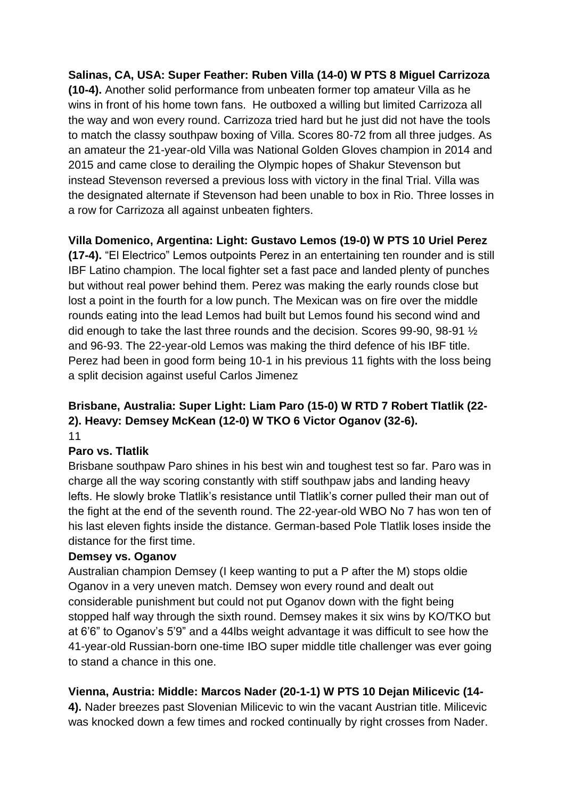**Salinas, CA, USA: Super Feather: Ruben Villa (14-0) W PTS 8 Miguel Carrizoza (10-4).** Another solid performance from unbeaten former top amateur Villa as he wins in front of his home town fans. He outboxed a willing but limited Carrizoza all the way and won every round. Carrizoza tried hard but he just did not have the tools to match the classy southpaw boxing of Villa. Scores 80-72 from all three judges. As an amateur the 21-year-old Villa was National Golden Gloves champion in 2014 and 2015 and came close to derailing the Olympic hopes of Shakur Stevenson but instead Stevenson reversed a previous loss with victory in the final Trial. Villa was the designated alternate if Stevenson had been unable to box in Rio. Three losses in a row for Carrizoza all against unbeaten fighters.

### **Villa Domenico, Argentina: Light: Gustavo Lemos (19-0) W PTS 10 Uriel Perez**

**(17-4).** "El Electrico" Lemos outpoints Perez in an entertaining ten rounder and is still IBF Latino champion. The local fighter set a fast pace and landed plenty of punches but without real power behind them. Perez was making the early rounds close but lost a point in the fourth for a low punch. The Mexican was on fire over the middle rounds eating into the lead Lemos had built but Lemos found his second wind and did enough to take the last three rounds and the decision. Scores 99-90, 98-91 ½ and 96-93. The 22-year-old Lemos was making the third defence of his IBF title. Perez had been in good form being 10-1 in his previous 11 fights with the loss being a split decision against useful Carlos Jimenez

#### **Brisbane, Australia: Super Light: Liam Paro (15-0) W RTD 7 Robert Tlatlik (22- 2). Heavy: Demsey McKean (12-0) W TKO 6 Victor Oganov (32-6).** 11

### **Paro vs. Tlatlik**

Brisbane southpaw Paro shines in his best win and toughest test so far. Paro was in charge all the way scoring constantly with stiff southpaw jabs and landing heavy lefts. He slowly broke Tlatlik's resistance until Tlatlik's corner pulled their man out of the fight at the end of the seventh round. The 22-year-old WBO No 7 has won ten of his last eleven fights inside the distance. German-based Pole Tlatlik loses inside the distance for the first time.

#### **Demsey vs. Oganov**

Australian champion Demsey (I keep wanting to put a P after the M) stops oldie Oganov in a very uneven match. Demsey won every round and dealt out considerable punishment but could not put Oganov down with the fight being stopped half way through the sixth round. Demsey makes it six wins by KO/TKO but at 6'6" to Oganov's 5'9" and a 44lbs weight advantage it was difficult to see how the 41-year-old Russian-born one-time IBO super middle title challenger was ever going to stand a chance in this one.

### **Vienna, Austria: Middle: Marcos Nader (20-1-1) W PTS 10 Dejan Milicevic (14-**

**4).** Nader breezes past Slovenian Milicevic to win the vacant Austrian title. Milicevic was knocked down a few times and rocked continually by right crosses from Nader.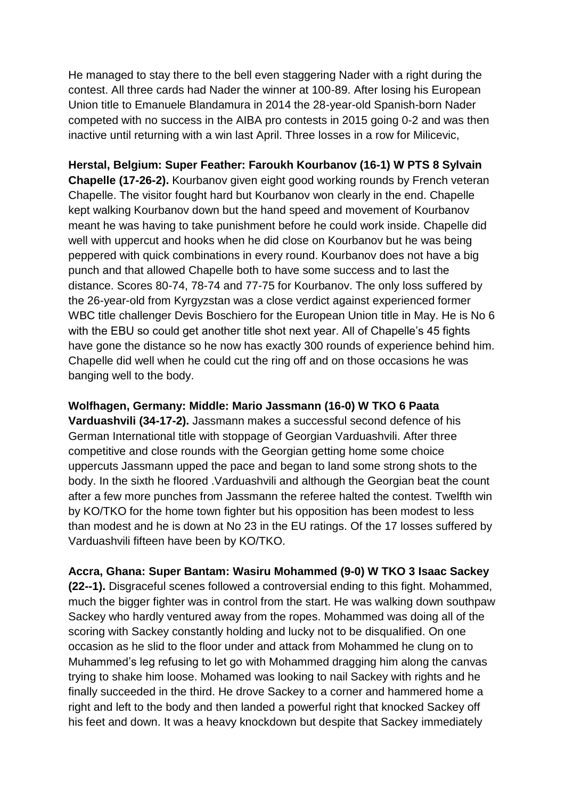He managed to stay there to the bell even staggering Nader with a right during the contest. All three cards had Nader the winner at 100-89. After losing his European Union title to Emanuele Blandamura in 2014 the 28-year-old Spanish-born Nader competed with no success in the AIBA pro contests in 2015 going 0-2 and was then inactive until returning with a win last April. Three losses in a row for Milicevic,

**Herstal, Belgium: Super Feather: Faroukh Kourbanov (16-1) W PTS 8 Sylvain Chapelle (17-26-2).** Kourbanov given eight good working rounds by French veteran Chapelle. The visitor fought hard but Kourbanov won clearly in the end. Chapelle kept walking Kourbanov down but the hand speed and movement of Kourbanov meant he was having to take punishment before he could work inside. Chapelle did well with uppercut and hooks when he did close on Kourbanov but he was being peppered with quick combinations in every round. Kourbanov does not have a big punch and that allowed Chapelle both to have some success and to last the distance. Scores 80-74, 78-74 and 77-75 for Kourbanov. The only loss suffered by the 26-year-old from Kyrgyzstan was a close verdict against experienced former WBC title challenger Devis Boschiero for the European Union title in May. He is No 6 with the EBU so could get another title shot next year. All of Chapelle's 45 fights have gone the distance so he now has exactly 300 rounds of experience behind him. Chapelle did well when he could cut the ring off and on those occasions he was banging well to the body.

#### **Wolfhagen, Germany: Middle: Mario Jassmann (16-0) W TKO 6 Paata**

**Varduashvili (34-17-2).** Jassmann makes a successful second defence of his German International title with stoppage of Georgian Varduashvili. After three competitive and close rounds with the Georgian getting home some choice uppercuts Jassmann upped the pace and began to land some strong shots to the body. In the sixth he floored .Varduashvili and although the Georgian beat the count after a few more punches from Jassmann the referee halted the contest. Twelfth win by KO/TKO for the home town fighter but his opposition has been modest to less than modest and he is down at No 23 in the EU ratings. Of the 17 losses suffered by Varduashvili fifteen have been by KO/TKO.

**Accra, Ghana: Super Bantam: Wasiru Mohammed (9-0) W TKO 3 Isaac Sackey (22--1).** Disgraceful scenes followed a controversial ending to this fight. Mohammed, much the bigger fighter was in control from the start. He was walking down southpaw Sackey who hardly ventured away from the ropes. Mohammed was doing all of the scoring with Sackey constantly holding and lucky not to be disqualified. On one occasion as he slid to the floor under and attack from Mohammed he clung on to Muhammed's leg refusing to let go with Mohammed dragging him along the canvas trying to shake him loose. Mohamed was looking to nail Sackey with rights and he finally succeeded in the third. He drove Sackey to a corner and hammered home a right and left to the body and then landed a powerful right that knocked Sackey off his feet and down. It was a heavy knockdown but despite that Sackey immediately